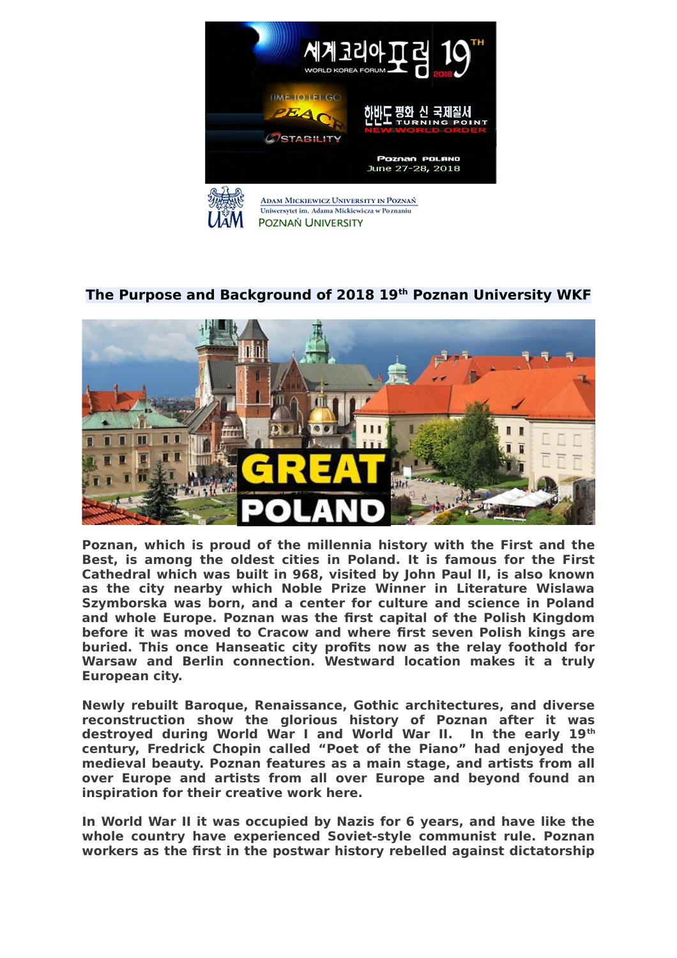

## **The Purpose and Background of 2018 19th Poznan University WKF**



**Poznan, which is proud of the millennia history with the First and the Best, is among the oldest cities in Poland. It is famous for the First Cathedral which was built in 968, visited by John Paul II, is also known as the city nearby which Noble Prize Winner in Literature Wislawa Szymborska was born, and a center for culture and science in Poland and whole Europe. Poznan was the first capital of the Polish Kingdom before it was moved to Cracow and where first seven Polish kings are buried. This once Hanseatic city profits now as the relay foothold for Warsaw and Berlin connection. Westward location makes it a truly European city.** 

**Newly rebuilt Baroque, Renaissance, Gothic architectures, and diverse reconstruction show the glorious history of Poznan after it was destroyed during World War I and World War II. In the early 19th century, Fredrick Chopin called "Poet of the Piano" had enjoyed the medieval beauty. Poznan features as a main stage, and artists from all over Europe and artists from all over Europe and beyond found an inspiration for their creative work here.** 

**In World War II it was occupied by Nazis for 6 years, and have like the whole country have experienced Soviet-style communist rule. Poznan workers as the first in the postwar history rebelled against dictatorship**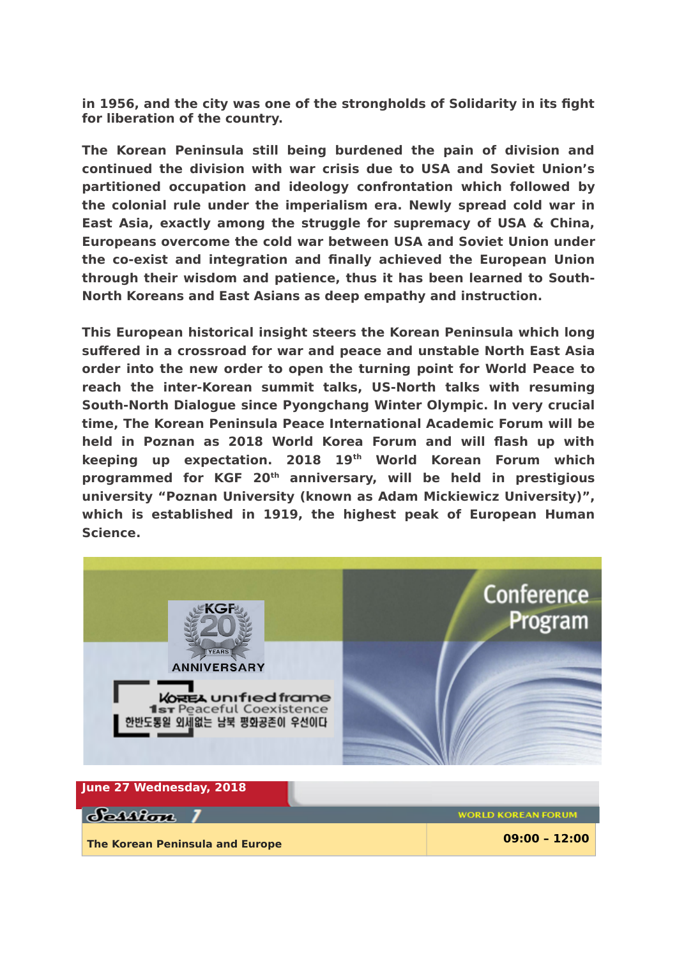**in 1956, and the city was one of the strongholds of Solidarity in its fight for liberation of the country.** 

**The Korean Peninsula still being burdened the pain of division and continued the division with war crisis due to USA and Soviet Union's partitioned occupation and ideology confrontation which followed by the colonial rule under the imperialism era. Newly spread cold war in East Asia, exactly among the struggle for supremacy of USA & China, Europeans overcome the cold war between USA and Soviet Union under the co-exist and integration and finally achieved the European Union through their wisdom and patience, thus it has been learned to South-North Koreans and East Asians as deep empathy and instruction.** 

**This European historical insight steers the Korean Peninsula which long suffered in a crossroad for war and peace and unstable North East Asia order into the new order to open the turning point for World Peace to reach the inter-Korean summit talks, US-North talks with resuming South-North Dialogue since Pyongchang Winter Olympic. In very crucial time, The Korean Peninsula Peace International Academic Forum will be held in Poznan as 2018 World Korea Forum and will flash up with keeping up expectation. 2018 19th World Korean Forum which programmed for KGF 20th anniversary, will be held in prestigious university "Poznan University (known as Adam Mickiewicz University)", which is established in 1919, the highest peak of European Human Science.** 



| June 27 Wednesday, 2018                |                           |
|----------------------------------------|---------------------------|
| Scallon                                | <b>WORLD KOREAN FORUM</b> |
| <b>The Korean Peninsula and Europe</b> | $09:00 - 12:00$           |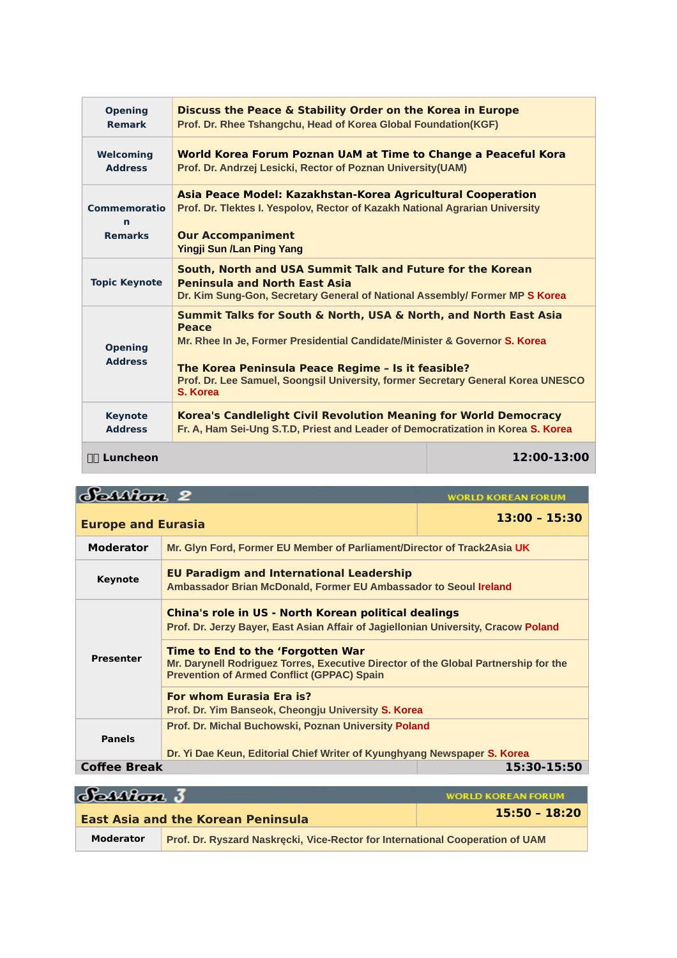| <b>Opening</b><br><b>Remark</b>            | Discuss the Peace & Stability Order on the Korea in Europe<br>Prof. Dr. Rhee Tshangchu, Head of Korea Global Foundation(KGF)                                                                                                                                                                                         |             |
|--------------------------------------------|----------------------------------------------------------------------------------------------------------------------------------------------------------------------------------------------------------------------------------------------------------------------------------------------------------------------|-------------|
| Welcoming<br><b>Address</b>                | World Korea Forum Poznan UAM at Time to Change a Peaceful Kora<br>Prof. Dr. Andrzej Lesicki, Rector of Poznan University (UAM)                                                                                                                                                                                       |             |
| <b>Commemoratio</b><br>n<br><b>Remarks</b> | Asia Peace Model: Kazakhstan-Korea Agricultural Cooperation<br>Prof. Dr. Tlektes I. Yespolov, Rector of Kazakh National Agrarian University<br><b>Our Accompaniment</b><br><b>Yingji Sun /Lan Ping Yang</b>                                                                                                          |             |
| <b>Topic Keynote</b>                       | South, North and USA Summit Talk and Future for the Korean<br><b>Peninsula and North East Asia</b><br>Dr. Kim Sung-Gon, Secretary General of National Assembly/ Former MP S Korea                                                                                                                                    |             |
| <b>Opening</b><br><b>Address</b>           | Summit Talks for South & North, USA & North, and North East Asia<br><b>Peace</b><br>Mr. Rhee In Je, Former Presidential Candidate/Minister & Governor S. Korea<br>The Korea Peninsula Peace Regime - Is it feasible?<br>Prof. Dr. Lee Samuel, Soongsil University, former Secretary General Korea UNESCO<br>S. Korea |             |
| <b>Keynote</b><br><b>Address</b>           | Korea's Candlelight Civil Revolution Meaning for World Democracy<br>Fr. A, Ham Sei-Ung S.T.D, Priest and Leader of Democratization in Korea S. Korea                                                                                                                                                                 |             |
| ∏∏ Luncheon                                |                                                                                                                                                                                                                                                                                                                      | 12:00-13:00 |

Scallon 2 **WORLD KOREAN FORUM Europe and Eurasia 13:00 – 15:30 Moderator Mr. Glyn Ford, Former EU Member of Parliament/Director of Track2Asia UK Keynote EU Paradigm and International Leadership Ambassador Brian McDonald, Former EU Ambassador to Seoul Ireland China's role in US - North Korean political dealings Prof. Dr. Jerzy Bayer, East Asian Affair of Jagiellonian University, Cracow Poland Time to End to the 'Forgotten War Presenter Mr. Darynell Rodriguez Torres, Executive Director of the Global Partnership for the Prevention of Armed Conflict (GPPAC) Spain For whom Eurasia Era is? Prof. Dr. Yim Banseok, Cheongju University S. Korea Prof. Dr. Michal Buchowski, Poznan University Poland Panels Dr. Yi Dae Keun, Editorial Chief Writer of Kyunghyang Newspaper S. Korea Coffee Break 15:30-15:50**

| Session 3        |                                                                               | <b>WORLD KOREAN FORUM</b> |
|------------------|-------------------------------------------------------------------------------|---------------------------|
|                  | <b>East Asia and the Korean Peninsula</b>                                     | $15:50 - 18:20$           |
| <b>Moderator</b> | Prof. Dr. Ryszard Naskrecki, Vice-Rector for International Cooperation of UAM |                           |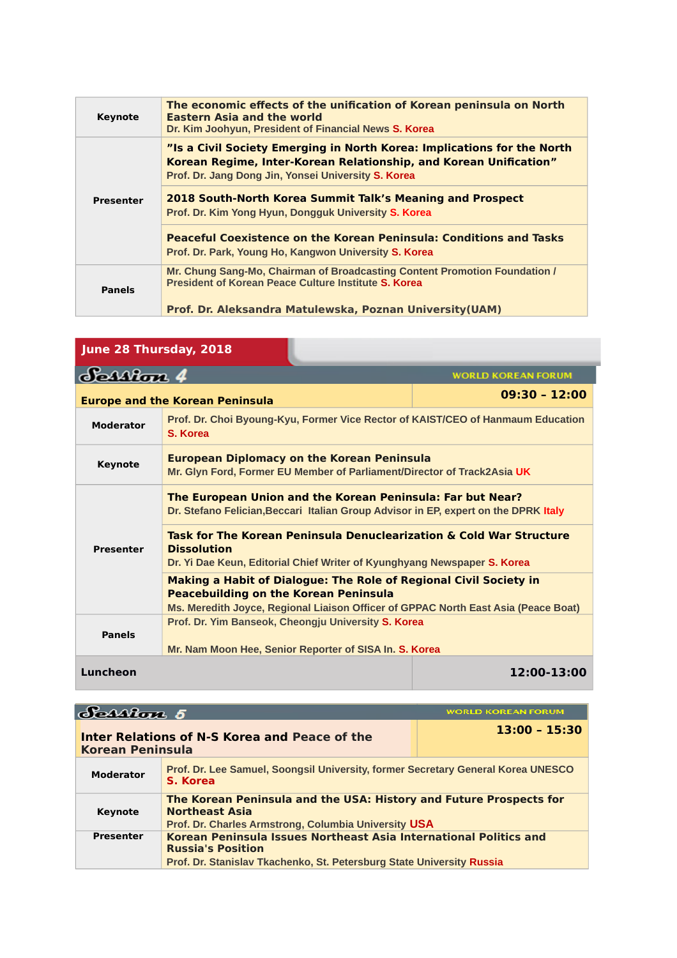| <b>Keynote</b>   | The economic effects of the unification of Korean peninsula on North<br><b>Eastern Asia and the world</b><br>Dr. Kim Joohyun, President of Financial News S. Korea                                  |
|------------------|-----------------------------------------------------------------------------------------------------------------------------------------------------------------------------------------------------|
|                  | "Is a Civil Society Emerging in North Korea: Implications for the North<br>Korean Regime, Inter-Korean Relationship, and Korean Unification"<br>Prof. Dr. Jang Dong Jin, Yonsei University S. Korea |
| <b>Presenter</b> | 2018 South-North Korea Summit Talk's Meaning and Prospect<br>Prof. Dr. Kim Yong Hyun, Dongquk University S. Korea                                                                                   |
|                  | <b>Peaceful Coexistence on the Korean Peninsula: Conditions and Tasks</b><br>Prof. Dr. Park, Young Ho, Kangwon University S. Korea                                                                  |
| <b>Panels</b>    | Mr. Chung Sang-Mo, Chairman of Broadcasting Content Promotion Foundation /<br><b>President of Korean Peace Culture Institute S. Korea</b>                                                           |
|                  | Prof. Dr. Aleksandra Matulewska, Poznan University (UAM)                                                                                                                                            |

п

| June 28 Thursday, 2018                                                                                                                            |                                                                                                                                                                                                                |                 |
|---------------------------------------------------------------------------------------------------------------------------------------------------|----------------------------------------------------------------------------------------------------------------------------------------------------------------------------------------------------------------|-----------------|
| Scanton 4<br><b>WORLD KOREAN FORUM</b>                                                                                                            |                                                                                                                                                                                                                |                 |
| <b>Europe and the Korean Peninsula</b>                                                                                                            |                                                                                                                                                                                                                | $09:30 - 12:00$ |
| <b>Moderator</b>                                                                                                                                  | Prof. Dr. Choi Byoung-Kyu, Former Vice Rector of KAIST/CEO of Hanmaum Education<br>S. Korea                                                                                                                    |                 |
| Keynote                                                                                                                                           | <b>European Diplomacy on the Korean Peninsula</b><br>Mr. Glyn Ford, Former EU Member of Parliament/Director of Track2Asia UK                                                                                   |                 |
| The European Union and the Korean Peninsula: Far but Near?<br>Dr. Stefano Felician, Beccari Italian Group Advisor in EP, expert on the DPRK Italy |                                                                                                                                                                                                                |                 |
| <b>Presenter</b>                                                                                                                                  | Task for The Korean Peninsula Denuclearization & Cold War Structure<br><b>Dissolution</b><br>Dr. Yi Dae Keun, Editorial Chief Writer of Kyunghyang Newspaper S. Korea                                          |                 |
|                                                                                                                                                   | <b>Making a Habit of Dialogue: The Role of Regional Civil Society in</b><br><b>Peacebuilding on the Korean Peninsula</b><br>Ms. Meredith Joyce, Regional Liaison Officer of GPPAC North East Asia (Peace Boat) |                 |
| <b>Panels</b>                                                                                                                                     | Prof. Dr. Yim Banseok, Cheongju University S. Korea<br>Mr. Nam Moon Hee, Senior Reporter of SISA In. S. Korea                                                                                                  |                 |
| Luncheon                                                                                                                                          |                                                                                                                                                                                                                | 12:00-13:00     |

| ession 5                |                                                                                                                                                                        | <b>WORLD KOREAN FORUM</b> |
|-------------------------|------------------------------------------------------------------------------------------------------------------------------------------------------------------------|---------------------------|
| <b>Korean Peninsula</b> | Inter Relations of N-S Korea and Peace of the                                                                                                                          | $13:00 - 15:30$           |
| <b>Moderator</b>        | Prof. Dr. Lee Samuel, Soongsil University, former Secretary General Korea UNESCO<br>S. Korea                                                                           |                           |
| <b>Keynote</b>          | The Korean Peninsula and the USA: History and Future Prospects for<br><b>Northeast Asia</b><br>Prof. Dr. Charles Armstrong, Columbia University USA                    |                           |
| <b>Presenter</b>        | Korean Peninsula Issues Northeast Asia International Politics and<br><b>Russia's Position</b><br>Prof. Dr. Stanislav Tkachenko, St. Petersburg State University Russia |                           |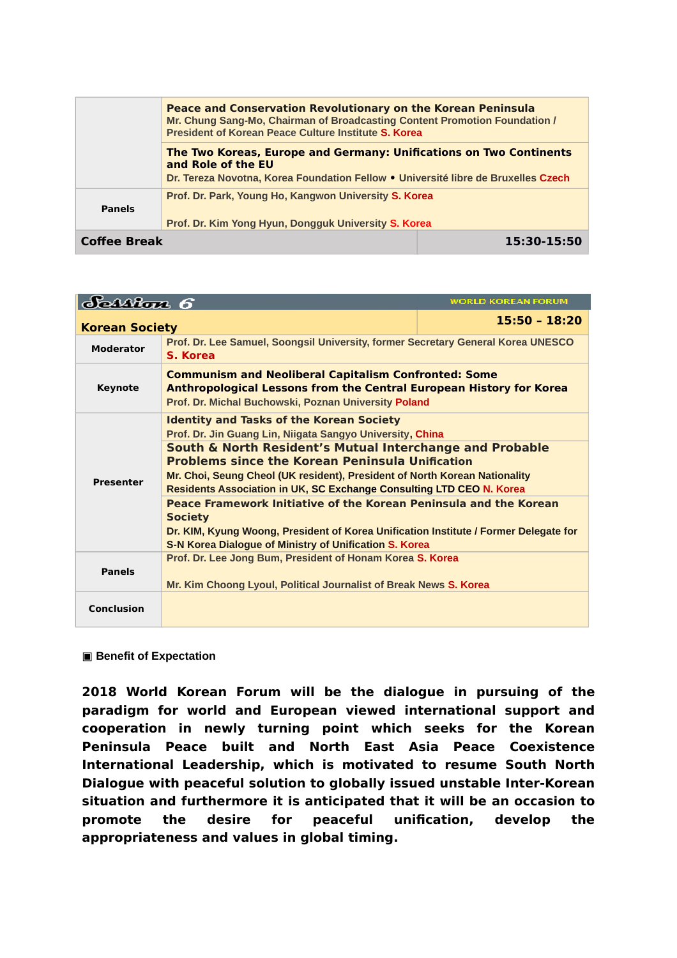|                     | <b>Peace and Conservation Revolutionary on the Korean Peninsula</b><br>Mr. Chung Sang-Mo, Chairman of Broadcasting Content Promotion Foundation /<br>President of Korean Peace Culture Institute S. Korea |             |
|---------------------|-----------------------------------------------------------------------------------------------------------------------------------------------------------------------------------------------------------|-------------|
|                     | <b>The Two Koreas, Europe and Germany: Unifications on Two Continents</b><br>and Role of the EU                                                                                                           |             |
|                     | Dr. Tereza Novotna, Korea Foundation Fellow . Université libre de Bruxelles Czech                                                                                                                         |             |
| <b>Panels</b>       | Prof. Dr. Park, Young Ho, Kangwon University S. Korea<br>Prof. Dr. Kim Yong Hyun, Dongguk University S. Korea                                                                                             |             |
|                     |                                                                                                                                                                                                           |             |
| <b>Coffee Break</b> |                                                                                                                                                                                                           | 15:30-15:50 |

| $\delta$ Mon $\delta$                                                                                        |                                                                                                                                                                                                   | <b>WORLD KOREAN FORUM</b> |
|--------------------------------------------------------------------------------------------------------------|---------------------------------------------------------------------------------------------------------------------------------------------------------------------------------------------------|---------------------------|
| <b>Korean Society</b>                                                                                        |                                                                                                                                                                                                   | $15:50 - 18:20$           |
| <b>Moderator</b>                                                                                             | Prof. Dr. Lee Samuel, Soongsil University, former Secretary General Korea UNESCO<br>S. Korea                                                                                                      |                           |
| <b>Keynote</b>                                                                                               | <b>Communism and Neoliberal Capitalism Confronted: Some</b><br><b>Anthropological Lessons from the Central European History for Korea</b><br>Prof. Dr. Michal Buchowski, Poznan University Poland |                           |
| <b>Identity and Tasks of the Korean Society</b><br>Prof. Dr. Jin Guang Lin, Niigata Sangyo University, China |                                                                                                                                                                                                   |                           |
| <b>Presenter</b>                                                                                             | South & North Resident's Mutual Interchange and Probable<br><b>Problems since the Korean Peninsula Unification</b>                                                                                |                           |
|                                                                                                              | Mr. Choi, Seung Cheol (UK resident), President of North Korean Nationality<br><b>Residents Association in UK, SC Exchange Consulting LTD CEO N. Korea</b>                                         |                           |
|                                                                                                              | Peace Framework Initiative of the Korean Peninsula and the Korean<br><b>Society</b>                                                                                                               |                           |
|                                                                                                              | Dr. KIM, Kyung Woong, President of Korea Unification Institute / Former Delegate for<br>S-N Korea Dialogue of Ministry of Unification S. Korea                                                    |                           |
| Prof. Dr. Lee Jong Bum, President of Honam Korea S. Korea<br><b>Panels</b>                                   |                                                                                                                                                                                                   |                           |
|                                                                                                              | Mr. Kim Choong Lyoul, Political Journalist of Break News S. Korea                                                                                                                                 |                           |
| <b>Conclusion</b>                                                                                            |                                                                                                                                                                                                   |                           |

**▣ Benefit of Expectation**

**2018 World Korean Forum will be the dialogue in pursuing of the paradigm for world and European viewed international support and cooperation in newly turning point which seeks for the Korean Peninsula Peace built and North East Asia Peace Coexistence International Leadership, which is motivated to resume South North Dialogue with peaceful solution to globally issued unstable Inter-Korean situation and furthermore it is anticipated that it will be an occasion to promote the desire for peaceful unification, develop the appropriateness and values in global timing.**